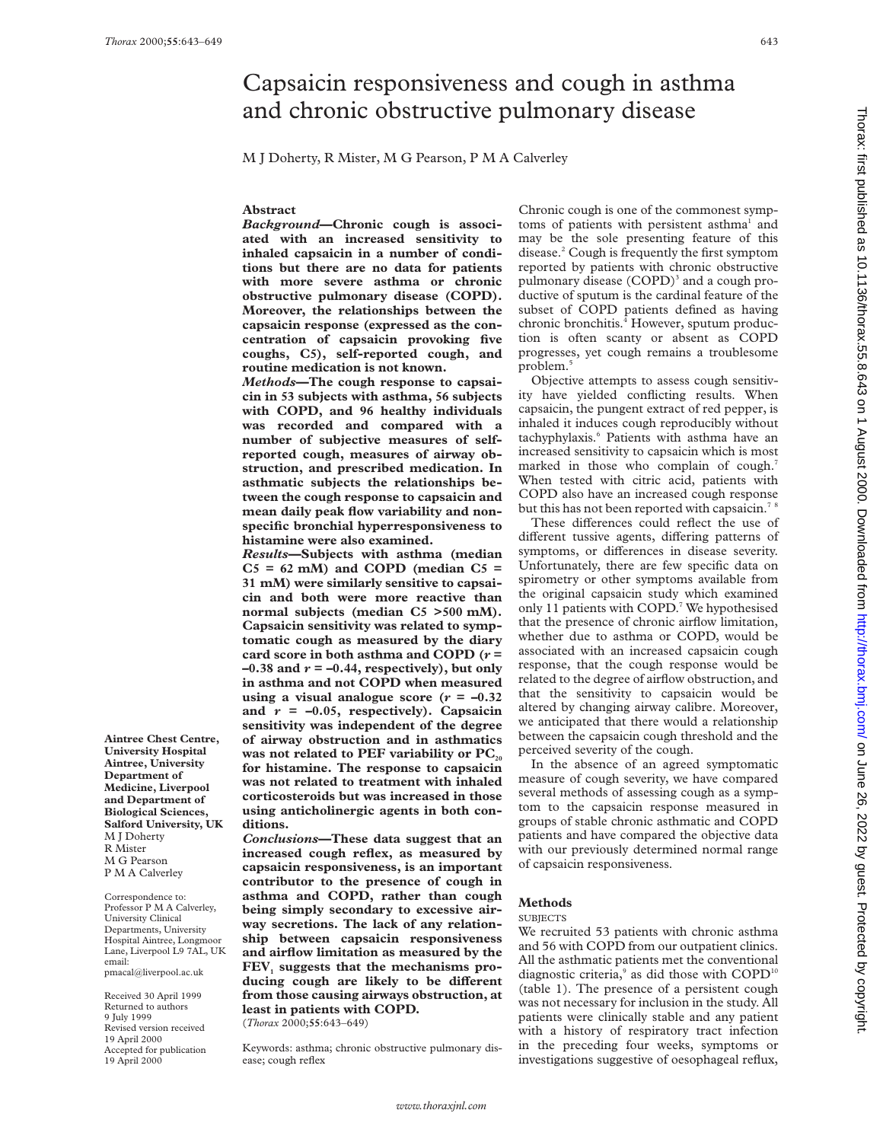**Aintree Chest Centre, University Hospital Aintree, University Department of Medicine, Liverpool and Department of Biological Sciences, Salford University, UK**

M J Doherty R Mister M G Pearson P M A Calverley Correspondence to: Professor P M A Calverley, University Clinical Departments, University Hospital Aintree, Longmoor Lane, Liverpool L9 7AL, UK

email:

pmacal@liverpool.ac.uk Received 30 April 1999 Returned to authors 9 July 1999 Revised version received 19 April 2000 Accepted for publication 19 April 2000

# Capsaicin responsiveness and cough in asthma and chronic obstructive pulmonary disease

M J Doherty, R Mister, M G Pearson, P M A Calverley

# **Abstract**

*Background***—Chronic cough is associated with an increased sensitivity to inhaled capsaicin in a number of conditions but there are no data for patients with more severe asthma or chronic obstructive pulmonary disease (COPD). Moreover, the relationships between the capsaicin response (expressed as the concentration of capsaicin provoking five coughs, C5), self-reported cough, and routine medication is not known.**

*Methods***—The cough response to capsaicin in 53 subjects with asthma, 56 subjects with COPD, and 96 healthy individuals was recorded and compared with a number of subjective measures of selfreported cough, measures of airway obstruction, and prescribed medication. In asthmatic subjects the relationships between the cough response to capsaicin and mean daily peak flow variability and nonspecific bronchial hyperresponsiveness to histamine were also examined.**

*Results***—Subjects with asthma (median C5 = 62 mM) and COPD (median C5 = 31 mM) were similarly sensitive to capsaicin and both were more reactive than normal subjects (median C5 >500 mM). Capsaicin sensitivity was related to symptomatic cough as measured by the diary card score in both asthma and COPD (***r* **=**  $-0.38$  and  $r = -0.44$ , respectively), but only **in asthma and not COPD when measured using a visual analogue score (** $r = -0.32$ **)** and  $r = -0.05$ , respectively). Capsaicin **sensitivity was independent of the degree of airway obstruction and in asthmatics** was not related to PEF variability or PC<sub>20</sub> **for histamine. The response to capsaicin was not related to treatment with inhaled corticosteroids but was increased in those using anticholinergic agents in both conditions.**

*Conclusions***—These data suggest that an increased cough reflex, as measured by capsaicin responsiveness, is an important contributor to the presence of cough in asthma and COPD, rather than cough being simply secondary to excessive airway secretions. The lack of any relationship between capsaicin responsiveness and airflow limitation as measured by the** FEV, suggests that the mechanisms producing cough are likely to be different **from those causing airways obstruction, at least in patients with COPD.** (*Thorax* 2000;**55**:643–649)

Keywords: asthma; chronic obstructive pulmonary disease; cough reflex

Chronic cough is one of the commonest symptoms of patients with persistent asthma<sup>1</sup> and may be the sole presenting feature of this disease.2 Cough is frequently the first symptom reported by patients with chronic obstructive pulmonary disease  $(COPD)^3$  and a cough productive of sputum is the cardinal feature of the subset of COPD patients defined as having chronic bronchitis. $^{4}$  However, sputum production is often scanty or absent as COPD progresses, yet cough remains a troublesome problem.<sup>5</sup>

Objective attempts to assess cough sensitivity have yielded conflicting results. When capsaicin, the pungent extract of red pepper, is inhaled it induces cough reproducibly without tachyphylaxis.<sup>6</sup> Patients with asthma have an increased sensitivity to capsaicin which is most marked in those who complain of cough.<sup>7</sup> When tested with citric acid, patients with COPD also have an increased cough response but this has not been reported with capsaicin.<sup>78</sup>

These differences could reflect the use of different tussive agents, differing patterns of symptoms, or differences in disease severity. Unfortunately, there are few specific data on spirometry or other symptoms available from the original capsaicin study which examined only 11 patients with COPD.7 We hypothesised that the presence of chronic airflow limitation, whether due to asthma or COPD, would be associated with an increased capsaicin cough response, that the cough response would be related to the degree of airflow obstruction, and that the sensitivity to capsaicin would be altered by changing airway calibre. Moreover, we anticipated that there would a relationship between the capsaicin cough threshold and the perceived severity of the cough.

In the absence of an agreed symptomatic measure of cough severity, we have compared several methods of assessing cough as a symptom to the capsaicin response measured in groups of stable chronic asthmatic and COPD patients and have compared the objective data with our previously determined normal range of capsaicin responsiveness.

# **Methods**

#### SUBJECTS

We recruited 53 patients with chronic asthma and 56 with COPD from our outpatient clinics. All the asthmatic patients met the conventional diagnostic criteria, $9$  as did those with COPD<sup>10</sup> (table 1). The presence of a persistent cough was not necessary for inclusion in the study. All patients were clinically stable and any patient with a history of respiratory tract infection in the preceding four weeks, symptoms or investigations suggestive of oesophageal reflux,

Thorax: first published as 10.1136/thorax: 52.2.2. by guest and a 14 html in the copyright of the true ded as 10.21by guest as 10.1136/thorax: first published as 10.1136/thorax. First published as 10.1136/thorax. First and Thorax: first published as 10.1136/thorax.55.8.643 on 1 August 2000. Downloaded from http://thorax.bmj.com/ on June 26, 2022 by guest. Protected by copyright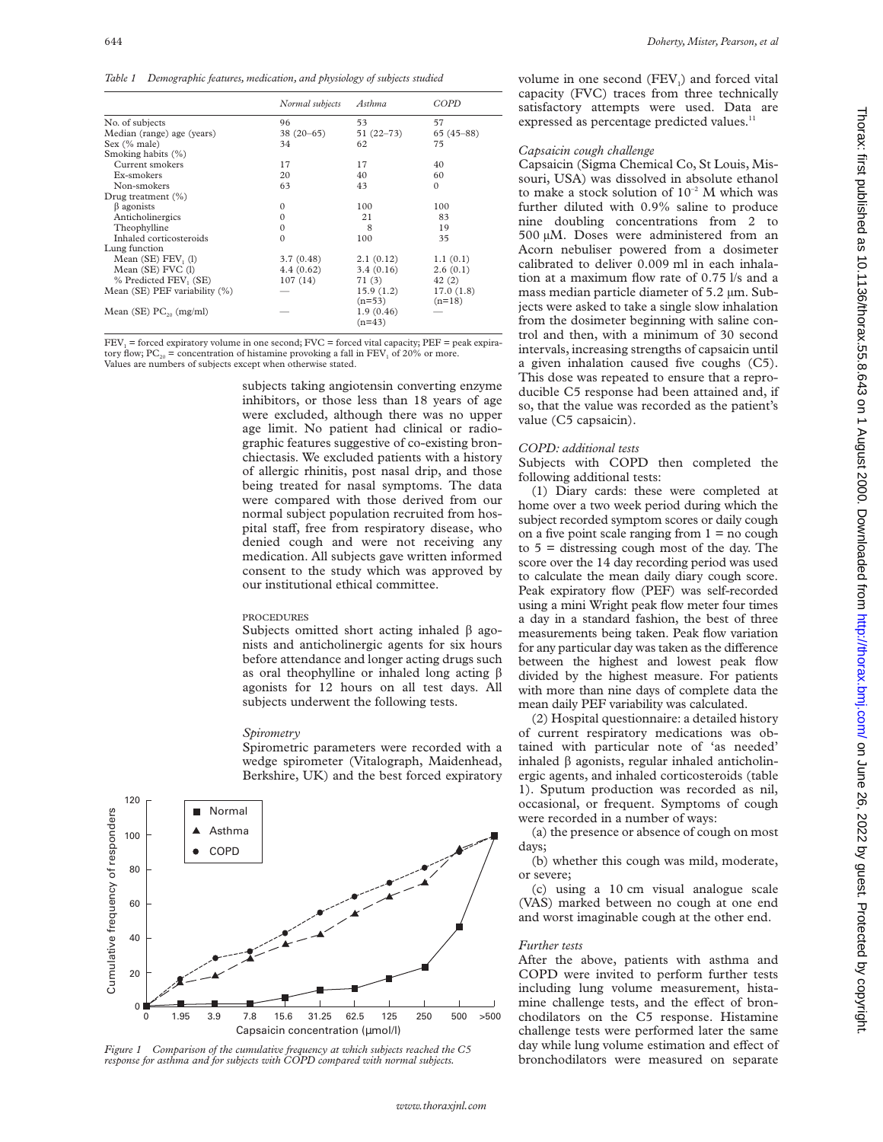*Table 1 Demographic features, medication, and physiology of subjects studied*

|                               | Normal subjects | Asthma        | COPD<br>57  |  |
|-------------------------------|-----------------|---------------|-------------|--|
| No. of subjects               | 96              | 53            |             |  |
| Median (range) age (years)    | $38(20-65)$     | $51(22 - 73)$ | $65(45-88)$ |  |
| Sex (% male)                  | 34              | 62            | 75          |  |
| Smoking habits (%)            |                 |               |             |  |
| Current smokers               | 17              | 17            | 40          |  |
| Ex-smokers                    | 20              | 40            | 60          |  |
| Non-smokers                   | 63              | 43            | $\Omega$    |  |
| Drug treatment $(\%)$         |                 |               |             |  |
| $\beta$ agonists              | $\Omega$        | 100           | 100         |  |
| Anticholinergics              | $\Omega$        | 21            | 83          |  |
| Theophylline                  | $\Omega$        | 8             | 19          |  |
| Inhaled corticosteroids       | $\Omega$        | 100           | 35          |  |
| Lung function                 |                 |               |             |  |
| Mean $(SE)$ FEV, $(1)$        | 3.7(0.48)       | 2.1(0.12)     | 1.1(0.1)    |  |
| Mean (SE) FVC (1)             | 4.4(0.62)       | 3.4(0.16)     | 2.6(0.1)    |  |
| % Predicted FEV, (SE)         | 107(14)         | 71(3)         | 42(2)       |  |
| Mean (SE) PEF variability (%) |                 | 15.9(1.2)     | 17.0(1.8)   |  |
|                               |                 | $(n=53)$      | $(n=18)$    |  |
| Mean (SE) $PC_{20}$ (mg/ml)   |                 | 1.9(0.46)     |             |  |
|                               |                 | $(n=43)$      |             |  |

 $FEV<sub>1</sub> =$  forced expiratory volume in one second;  $FVC =$  forced vital capacity;  $PEF =$  peak expiratory flow;  $PC_{20}$  = concentration of histamine provoking a fall in FEV<sub>1</sub> of 20% or more. Values are numbers of subjects except when otherwise stated.

> subjects taking angiotensin converting enzyme inhibitors, or those less than 18 years of age were excluded, although there was no upper age limit. No patient had clinical or radiographic features suggestive of co-existing bronchiectasis. We excluded patients with a history of allergic rhinitis, post nasal drip, and those being treated for nasal symptoms. The data were compared with those derived from our normal subject population recruited from hospital staff, free from respiratory disease, who denied cough and were not receiving any medication. All subjects gave written informed consent to the study which was approved by our institutional ethical committee.

# PROCEDURES

Subjects omitted short acting inhaled  $\beta$  agonists and anticholinergic agents for six hours before attendance and longer acting drugs such as oral theophylline or inhaled long acting  $\beta$ agonists for 12 hours on all test days. All subjects underwent the following tests.

#### *Spirometry*

Spirometric parameters were recorded with a wedge spirometer (Vitalograph, Maidenhead, Berkshire, UK) and the best forced expiratory



*Figure 1 Comparison of the cumulative frequency at which subjects reached the C5 response for asthma and for subjects with COPD compared with normal subjects.*

volume in one second  $(FEV<sub>1</sub>)$  and forced vital capacity (FVC) traces from three technically satisfactory attempts were used. Data are expressed as percentage predicted values.<sup>11</sup>

# *Capsaicin cough challenge*

Capsaicin (Sigma Chemical Co, St Louis, Missouri, USA) was dissolved in absolute ethanol to make a stock solution of  $10^{-2}$  M which was further diluted with 0.9% saline to produce nine doubling concentrations from 2 to 500 µM. Doses were administered from an Acorn nebuliser powered from a dosimeter calibrated to deliver 0.009 ml in each inhalation at a maximum flow rate of 0.75 l/s and a mass median particle diameter of 5.2 µm. Subjects were asked to take a single slow inhalation from the dosimeter beginning with saline control and then, with a minimum of 30 second intervals, increasing strengths of capsaicin until a given inhalation caused five coughs (C5). This dose was repeated to ensure that a reproducible C5 response had been attained and, if so, that the value was recorded as the patient's value (C5 capsaicin).

# *COPD: additional tests*

Subjects with COPD then completed the following additional tests:

(1) Diary cards: these were completed at home over a two week period during which the subject recorded symptom scores or daily cough on a five point scale ranging from  $1 = no$  cough to  $5 =$  distressing cough most of the day. The score over the 14 day recording period was used to calculate the mean daily diary cough score. Peak expiratory flow (PEF) was self-recorded using a mini Wright peak flow meter four times a day in a standard fashion, the best of three measurements being taken. Peak flow variation for any particular day was taken as the difference between the highest and lowest peak flow divided by the highest measure. For patients with more than nine days of complete data the mean daily PEF variability was calculated.

(2) Hospital questionnaire: a detailed history of current respiratory medications was obtained with particular note of 'as needed' inhaled  $\beta$  agonists, regular inhaled anticholinergic agents, and inhaled corticosteroids (table 1). Sputum production was recorded as nil, occasional, or frequent. Symptoms of cough were recorded in a number of ways:

(a) the presence or absence of cough on most days;

(b) whether this cough was mild, moderate, or severe;

(c) using a 10 cm visual analogue scale (VAS) marked between no cough at one end and worst imaginable cough at the other end.

#### *Further tests*

After the above, patients with asthma and COPD were invited to perform further tests including lung volume measurement, histamine challenge tests, and the effect of bronchodilators on the C5 response. Histamine challenge tests were performed later the same day while lung volume estimation and effect of bronchodilators were measured on separate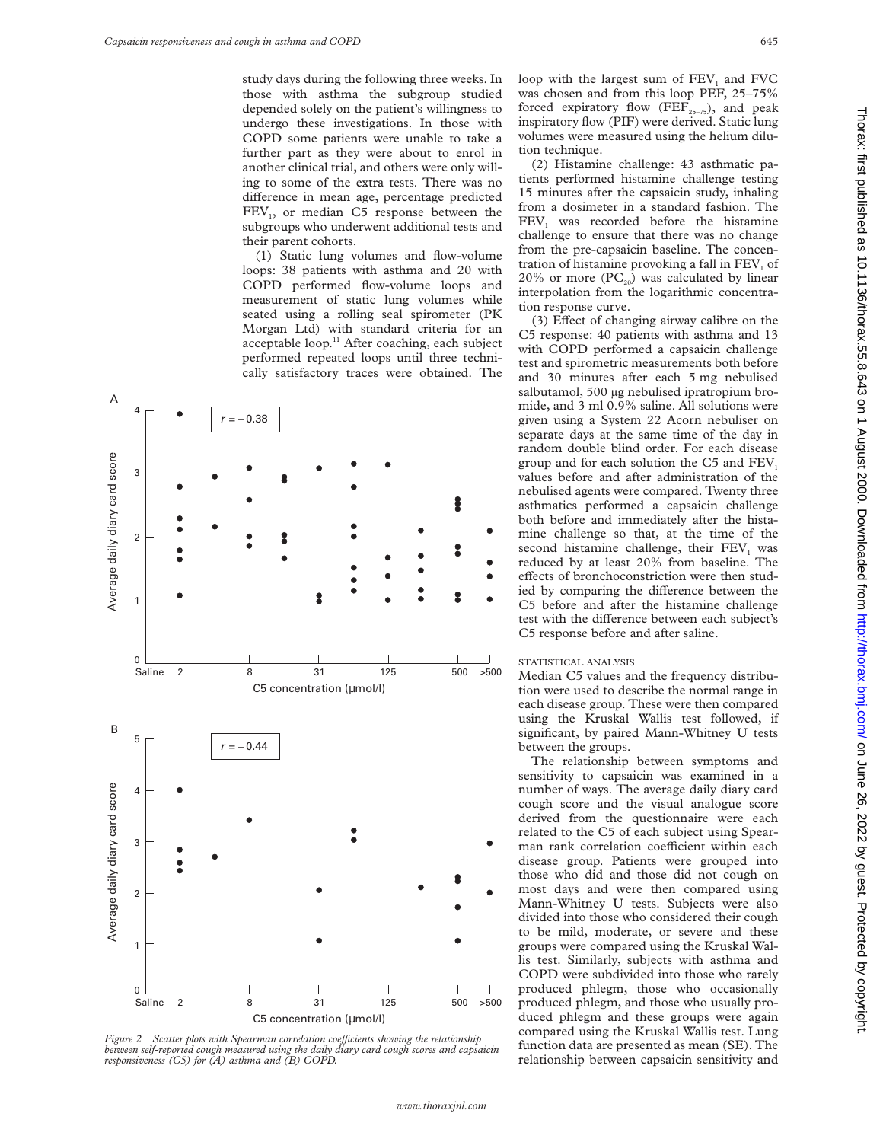study days during the following three weeks. In those with asthma the subgroup studied depended solely on the patient's willingness to undergo these investigations. In those with COPD some patients were unable to take a further part as they were about to enrol in another clinical trial, and others were only willing to some of the extra tests. There was no difference in mean age, percentage predicted FEV<sub>1</sub>, or median C5 response between the subgroups who underwent additional tests and their parent cohorts.

(1) Static lung volumes and flow-volume loops: 38 patients with asthma and 20 with COPD performed flow-volume loops and measurement of static lung volumes while seated using a rolling seal spirometer (PK Morgan Ltd) with standard criteria for an acceptable loop.<sup>11</sup> After coaching, each subject performed repeated loops until three technically satisfactory traces were obtained. The



*Figure 2* Scatter plots with Spearman correlation coefficients showing the relationship *between self-reported cough measured using the daily diary card cough scores and capsaicin responsiveness (C5) for (A) asthma and (B) COPD.*

loop with the largest sum of  $FEV<sub>1</sub>$  and  $FVC$ was chosen and from this loop PEF, 25–75% forced expiratory flow (FEF<sub>25-75</sub>), and peak inspiratory flow (PIF) were derived. Static lung volumes were measured using the helium dilution technique.

(2) Histamine challenge: 43 asthmatic patients performed histamine challenge testing 15 minutes after the capsaicin study, inhaling from a dosimeter in a standard fashion. The  $FEV<sub>1</sub>$  was recorded before the histamine challenge to ensure that there was no change from the pre-capsaicin baseline. The concentration of histamine provoking a fall in  $FEV<sub>1</sub>$  of 20% or more  $(PC_{20})$  was calculated by linear interpolation from the logarithmic concentration response curve.

(3) Effect of changing airway calibre on the C5 response: 40 patients with asthma and 13 with COPD performed a capsaicin challenge test and spirometric measurements both before and 30 minutes after each 5 mg nebulised salbutamol, 500 µg nebulised ipratropium bromide, and 3 ml 0.9% saline. All solutions were given using a System 22 Acorn nebuliser on separate days at the same time of the day in random double blind order. For each disease group and for each solution the  $C_5$  and  $FEV_1$ values before and after administration of the nebulised agents were compared. Twenty three asthmatics performed a capsaicin challenge both before and immediately after the histamine challenge so that, at the time of the second histamine challenge, their FEV<sub>1</sub> was reduced by at least 20% from baseline. The effects of bronchoconstriction were then studied by comparing the difference between the C5 before and after the histamine challenge test with the difference between each subject's C5 response before and after saline.

## STATISTICAL ANALYSIS

Median C5 values and the frequency distribution were used to describe the normal range in each disease group. These were then compared using the Kruskal Wallis test followed, if significant, by paired Mann-Whitney U tests between the groups.

The relationship between symptoms and sensitivity to capsaicin was examined in a number of ways. The average daily diary card cough score and the visual analogue score derived from the questionnaire were each related to the C5 of each subject using Spearman rank correlation coefficient within each disease group. Patients were grouped into those who did and those did not cough on most days and were then compared using Mann-Whitney U tests. Subjects were also divided into those who considered their cough

to be mild, moderate, or severe and these groups were compared using the Kruskal Wallis test. Similarly, subjects with asthma and COPD were subdivided into those who rarely produced phlegm, those who occasionally produced phlegm, and those who usually produced phlegm and these groups were again compared using the Kruskal Wallis test. Lung function data are presented as mean (SE). The relationship between capsaicin sensitivity and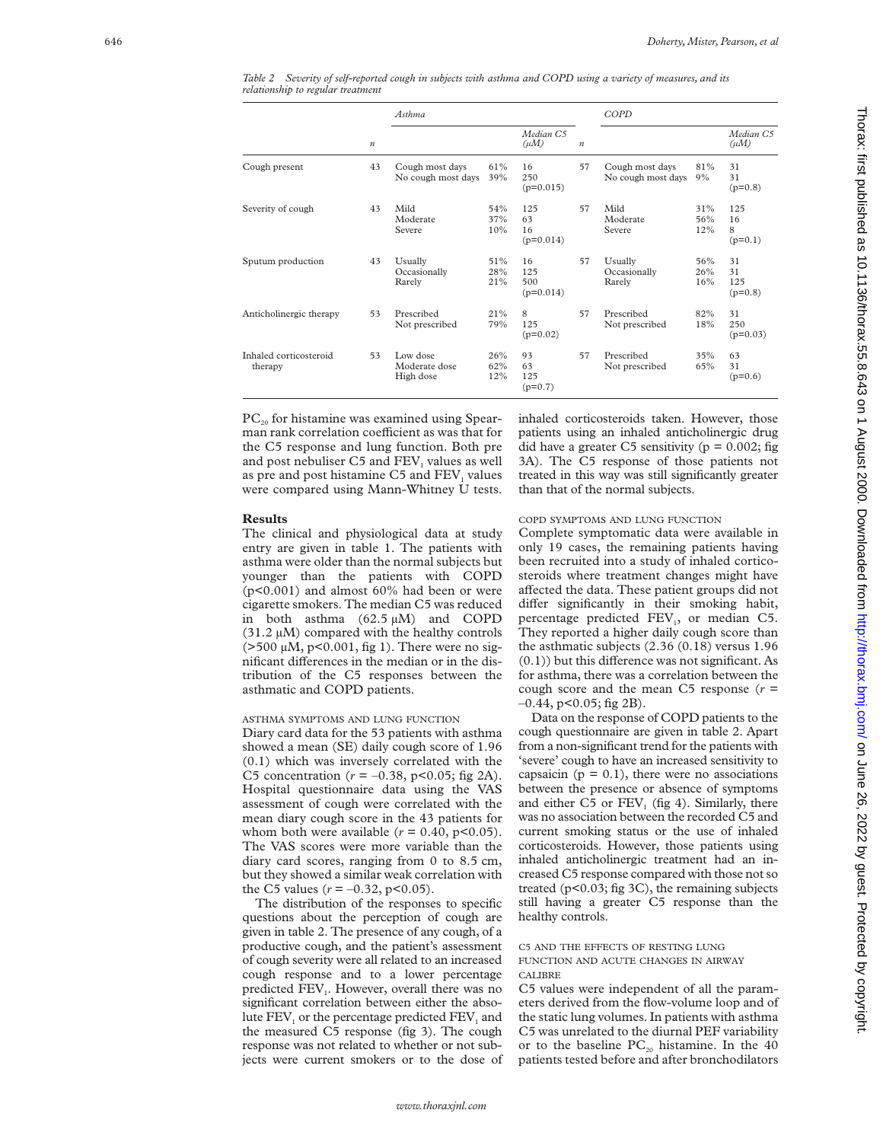|                                   |                  | Asthma                                 |                   |                                 |                  | COPD                                  |                   |                              |
|-----------------------------------|------------------|----------------------------------------|-------------------|---------------------------------|------------------|---------------------------------------|-------------------|------------------------------|
|                                   | $\boldsymbol{n}$ |                                        |                   | Median C5<br>$(\mu M)$          | $\boldsymbol{n}$ |                                       |                   | Median C5<br>$(\mu M)$       |
| Cough present                     | 43               | Cough most days<br>No cough most days  | 61%<br>39%        | 16<br>250<br>$(p=0.015)$        | 57               | Cough most days<br>No cough most days | 81%<br>9%         | 31<br>31<br>$(p=0.8)$        |
| Severity of cough                 | 43               | Mild<br>Moderate<br>Severe             | 54%<br>37%<br>10% | 125<br>63<br>16<br>$(p=0.014)$  | 57               | Mild<br>Moderate<br>Severe            | 31%<br>56%<br>12% | 125<br>16<br>8<br>$(p=0.1)$  |
| Sputum production                 | 43               | Usually<br>Occasionally<br>Rarely      | 51%<br>28%<br>21% | 16<br>125<br>500<br>$(p=0.014)$ | 57               | Usually<br>Occasionally<br>Rarely     | 56%<br>26%<br>16% | 31<br>31<br>125<br>$(p=0.8)$ |
| Anticholinergic therapy           | 53               | Prescribed<br>Not prescribed           | 21%<br>79%        | 8<br>125<br>$(p=0.02)$          | 57               | Prescribed<br>Not prescribed          | 82%<br>18%        | 31<br>250<br>$(p=0.03)$      |
| Inhaled corticosteroid<br>therapy | 53               | Low dose<br>Moderate dose<br>High dose | 26%<br>62%<br>12% | 93<br>63<br>125<br>$(p=0.7)$    | 57               | Prescribed<br>Not prescribed          | 35%<br>65%        | 63<br>31<br>$(p=0.6)$        |

*Table 2 Severity of self-reported cough in subjects with asthma and COPD using a variety of measures, and its relationship to regular treatment*

 $PC_{20}$  for histamine was examined using Spearman rank correlation coefficient as was that for the C5 response and lung function. Both pre and post nebuliser C5 and FEV<sub>1</sub> values as well as pre and post histamine C5 and FEV<sub>1</sub> values were compared using Mann-Whitney U tests.

#### **Results**

The clinical and physiological data at study entry are given in table 1. The patients with asthma were older than the normal subjects but younger than the patients with COPD  $(p<0.001)$  and almost  $60\%$  had been or were cigarette smokers. The median C5 was reduced in both asthma  $(62.5 \mu M)$  and COPD (31.2 µM) compared with the healthy controls  $($ >500  $\mu$ M, p<0.001, fig 1). There were no significant differences in the median or in the distribution of the C5 responses between the asthmatic and COPD patients.

## ASTHMA SYMPTOMS AND LUNG FUNCTION

Diary card data for the 53 patients with asthma showed a mean (SE) daily cough score of 1.96 (0.1) which was inversely correlated with the C5 concentration  $(r = -0.38, p < 0.05;$  fig 2A). Hospital questionnaire data using the VAS assessment of cough were correlated with the mean diary cough score in the 43 patients for whom both were available  $(r = 0.40, p < 0.05)$ . The VAS scores were more variable than the diary card scores, ranging from 0 to 8.5 cm, but they showed a similar weak correlation with the C5 values  $(r = -0.32, p < 0.05)$ .

The distribution of the responses to specific questions about the perception of cough are given in table 2. The presence of any cough, of a productive cough, and the patient's assessment of cough severity were all related to an increased cough response and to a lower percentage predicted FEV 1. However, overall there was no significant correlation between either the absolute FEV<sub>1</sub> or the percentage predicted FEV<sub>1</sub> and the measured C5 response (fig 3). The cough response was not related to whether or not subjects were current smokers or to the dose of inhaled corticosteroids taken. However, those patients using an inhaled anticholinergic drug did have a greater C5 sensitivity ( $p = 0.002$ ; fig 3A). The C5 response of those patients not treated in this way was still significantly greater than that of the normal subjects.

#### COPD SYMPTOMS AND LUNG FUNCTION

Complete symptomatic data were available in only 19 cases, the remaining patients having been recruited into a study of inhaled corticosteroids where treatment changes might have affected the data. These patient groups did not differ significantly in their smoking habit, percentage predicted FEV 1, or median C5. They reported a higher daily cough score than the asthmatic subjects (2.36 (0.18) versus 1.96  $(0.1)$ ) but this difference was not significant. As for asthma, there was a correlation between the cough score and the mean  $C5$  response  $(r =$  $-0.44$ , p< $0.05$ ; fig 2B).

Data on the response of COPD patients to the cough questionnaire are given in table 2. Apart from a non-significant trend for the patients with 'severe' cough to have an increased sensitivity to capsaicin ( $p = 0.1$ ), there were no associations between the presence or absence of symptoms and either  $C5$  or  $FEV<sub>1</sub>$  (fig 4). Similarly, there was no association between the recorded C5 and current smoking status or the use of inhaled corticosteroids. However, those patients using inhaled anticholinergic treatment had an increased C5 response compared with those not so treated (p<0.03; fig 3C), the remaining subjects still having a greater C5 response than the healthy controls.

# C5 AND THE EFFECTS OF RESTING LUNG FUNCTION AND ACUTE CHANGES IN AIRWAY CALIBRE

C5 values were independent of all the parameters derived from the flow-volume loop and of the static lung volumes. In patients with asthma C5 was unrelated to the diurnal PEF variability or to the baseline  $PC_{20}$  histamine. In the 40 patients tested before and after bronchodilators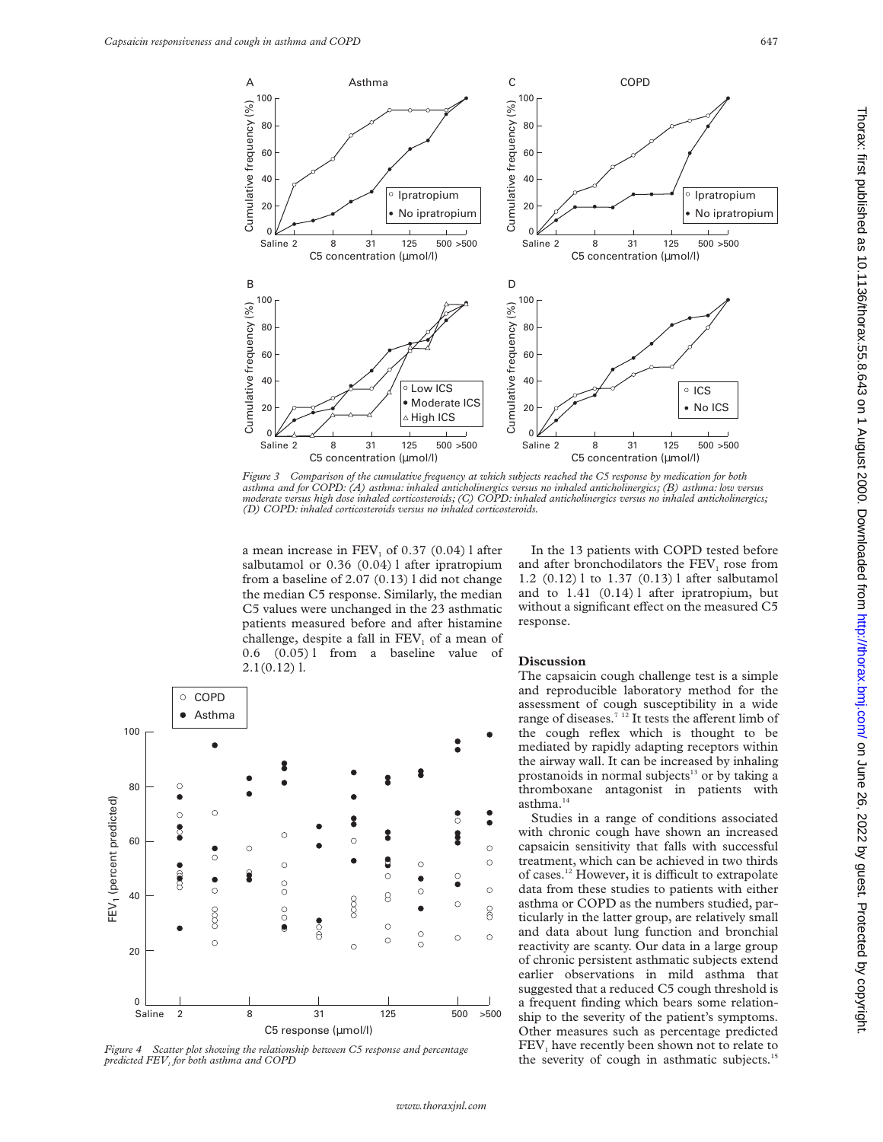

*Figure 3 Comparison of the cumulative frequency at which subjects reached the C5 response by medication for both asthma and for COPD: (A) asthma: inhaled anticholinergics versus no inhaled anticholinergics; (B) asthma: low versus moderate versus high dose inhaled corticosteroids; (C) COPD: inhaled anticholinergics versus no inhaled anticholinergics; (D) COPD: inhaled corticosteroids versus no inhaled corticosteroids.*

a mean increase in  $FEV<sub>1</sub>$  of 0.37 (0.04) l after salbutamol or 0.36 (0.04) l after ipratropium from a baseline of 2.07 (0.13) l did not change the median C5 response. Similarly, the median C5 values were unchanged in the 23 asthmatic patients measured before and after histamine challenge, despite a fall in  $FEV<sub>1</sub>$  of a mean of 0.6 (0.05) l from a baseline value of 2.1(0.12) l.



*Figure 4 Scatter plot showing the relationship between C5 response and percentage predicted FEV1 for both asthma and COPD*

In the 13 patients with COPD tested before and after bronchodilators the  $FEV<sub>1</sub>$  rose from 1.2 (0.12) l to 1.37 (0.13) l after salbutamol and to 1.41 (0.14) l after ipratropium, but without a significant effect on the measured C5 response.

# **Discussion**

The capsaicin cough challenge test is a simple and reproducible laboratory method for the assessment of cough susceptibility in a wide range of diseases.<sup>7 12</sup> It tests the afferent limb of the cough reflex which is thought to be mediated by rapidly adapting receptors within the airway wall. It can be increased by inhaling prostanoids in normal subjects<sup>13</sup> or by taking a thromboxane antagonist in patients with asthma.<sup>14</sup>

Studies in a range of conditions associated with chronic cough have shown an increased capsaicin sensitivity that falls with successful treatment, which can be achieved in two thirds of cases.<sup>12</sup> However, it is difficult to extrapolate data from these studies to patients with either asthma or COPD as the numbers studied, particularly in the latter group, are relatively small and data about lung function and bronchial reactivity are scanty. Our data in a large group of chronic persistent asthmatic subjects extend earlier observations in mild asthma that suggested that a reduced C5 cough threshold is a frequent finding which bears some relationship to the severity of the patient's symptoms. Other measures such as percentage predicted  $FEV<sub>1</sub>$  have recently been shown not to relate to the severity of cough in asthmatic subjects.<sup>15</sup>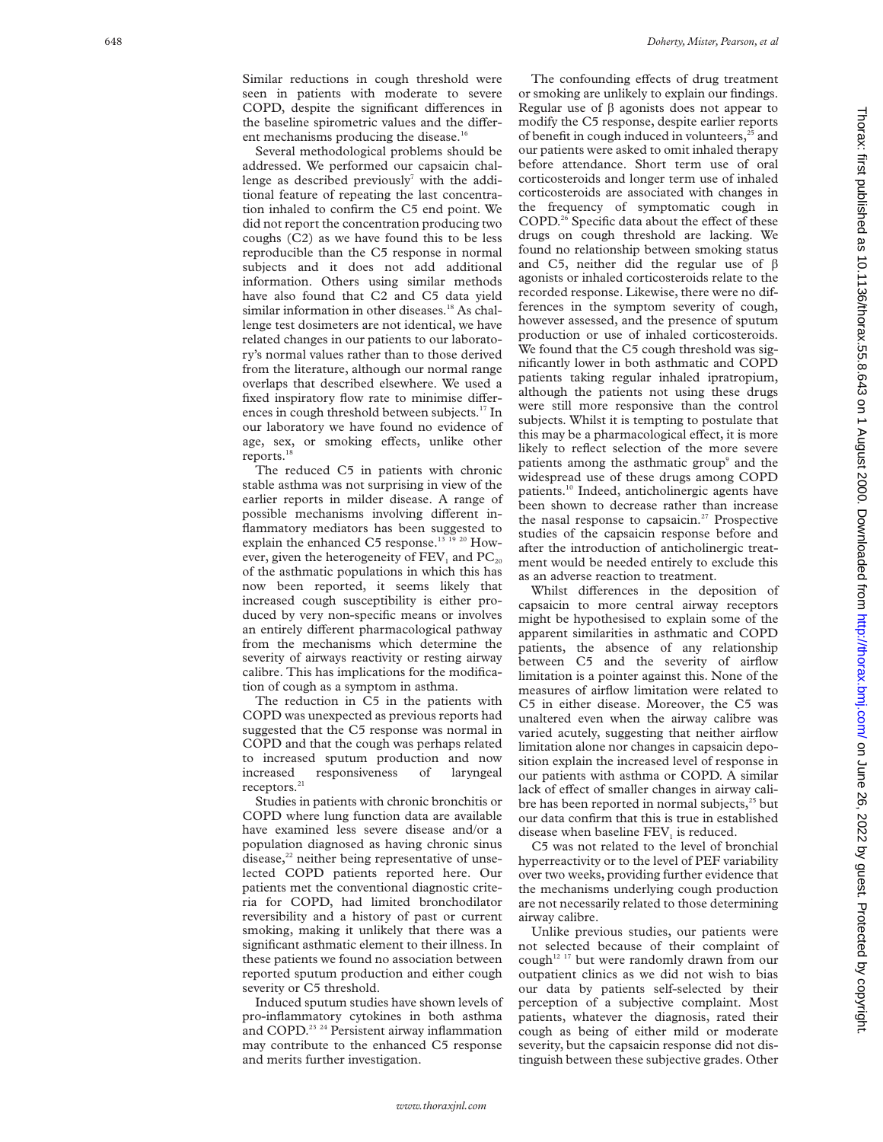Similar reductions in cough threshold were seen in patients with moderate to severe COPD, despite the significant differences in the baseline spirometric values and the different mechanisms producing the disease. $1$ <sup>1</sup>

Several methodological problems should be addressed. We performed our capsaicin challenge as described previously<sup>7</sup> with the additional feature of repeating the last concentration inhaled to confirm the C5 end point. We did not report the concentration producing two coughs (C2) as we have found this to be less reproducible than the C5 response in normal subjects and it does not add additional information. Others using similar methods have also found that C2 and C5 data yield similar information in other diseases.<sup>18</sup> As challenge test dosimeters are not identical, we have related changes in our patients to our laboratory's normal values rather than to those derived from the literature, although our normal range overlaps that described elsewhere. We used a fixed inspiratory flow rate to minimise differences in cough threshold between subjects.<sup>17</sup> In our laboratory we have found no evidence of age, sex, or smoking effects, unlike other reports.<sup>1</sup>

The reduced C5 in patients with chronic stable asthma was not surprising in view of the earlier reports in milder disease. A range of possible mechanisms involving different inflammatory mediators has been suggested to explain the enhanced C5 response.<sup>13 19</sup> <sup>20</sup> However, given the heterogeneity of  $FEV<sub>1</sub>$  and  $PC<sub>20</sub>$ of the asthmatic populations in which this has now been reported, it seems likely that increased cough susceptibility is either produced by very non-specific means or involves an entirely different pharmacological pathway from the mechanisms which determine the severity of airways reactivity or resting airway calibre. This has implications for the modification of cough as a symptom in asthma.

The reduction in C5 in the patients with COPD was unexpected as previous reports had suggested that the C5 response was normal in COPD and that the cough was perhaps related to increased sputum production and now increased responsiveness of laryngeal receptors.<sup>21</sup>

Studies in patients with chronic bronchitis or COPD where lung function data are available have examined less severe disease and/or a population diagnosed as having chronic sinus disease, $2<sup>22</sup>$  neither being representative of unselected COPD patients reported here. Our patients met the conventional diagnostic criteria for COPD, had limited bronchodilator reversibility and a history of past or current smoking, making it unlikely that there was a significant asthmatic element to their illness. In these patients we found no association between reported sputum production and either cough severity or C5 threshold.

Induced sputum studies have shown levels of pro-inflammatory cytokines in both asthma and COPD.<sup>23</sup> <sup>24</sup> Persistent airway inflammation may contribute to the enhanced C5 response and merits further investigation.

The confounding effects of drug treatment or smoking are unlikely to explain our findings. Regular use of  $\beta$  agonists does not appear to modify the C5 response, despite earlier reports of benefit in cough induced in volunteers, $25$  and our patients were asked to omit inhaled therapy before attendance. Short term use of oral corticosteroids and longer term use of inhaled corticosteroids are associated with changes in the frequency of symptomatic cough in COPD.<sup>26</sup> Specific data about the effect of these drugs on cough threshold are lacking. We found no relationship between smoking status and C5, neither did the regular use of  $\beta$ agonists or inhaled corticosteroids relate to the recorded response. Likewise, there were no differences in the symptom severity of cough, however assessed, and the presence of sputum production or use of inhaled corticosteroids. We found that the C5 cough threshold was significantly lower in both asthmatic and COPD patients taking regular inhaled ipratropium, although the patients not using these drugs were still more responsive than the control subjects. Whilst it is tempting to postulate that this may be a pharmacological effect, it is more likely to reflect selection of the more severe patients among the asthmatic group<sup>9</sup> and the widespread use of these drugs among COPD patients.10 Indeed, anticholinergic agents have been shown to decrease rather than increase the nasal response to capsaicin.<sup>27</sup> Prospective studies of the capsaicin response before and after the introduction of anticholinergic treatment would be needed entirely to exclude this as an adverse reaction to treatment.

Whilst differences in the deposition of capsaicin to more central airway receptors might be hypothesised to explain some of the apparent similarities in asthmatic and COPD patients, the absence of any relationship between C5 and the severity of airflow limitation is a pointer against this. None of the measures of airflow limitation were related to C5 in either disease. Moreover, the C5 was unaltered even when the airway calibre was varied acutely, suggesting that neither airflow limitation alone nor changes in capsaicin deposition explain the increased level of response in our patients with asthma or COPD. A similar lack of effect of smaller changes in airway calibre has been reported in normal subjects, $25$  but our data confirm that this is true in established disease when baseline FEV <sup>1</sup> is reduced.

C5 was not related to the level of bronchial hyperreactivity or to the level of PEF variability over two weeks, providing further evidence that the mechanisms underlying cough production are not necessarily related to those determining airway calibre.

Unlike previous studies, our patients were not selected because of their complaint of cough<sup>12 17</sup> but were randomly drawn from our outpatient clinics as we did not wish to bias our data by patients self-selected by their perception of a subjective complaint. Most patients, whatever the diagnosis, rated their cough as being of either mild or moderate severity, but the capsaicin response did not distinguish between these subjective grades. Other